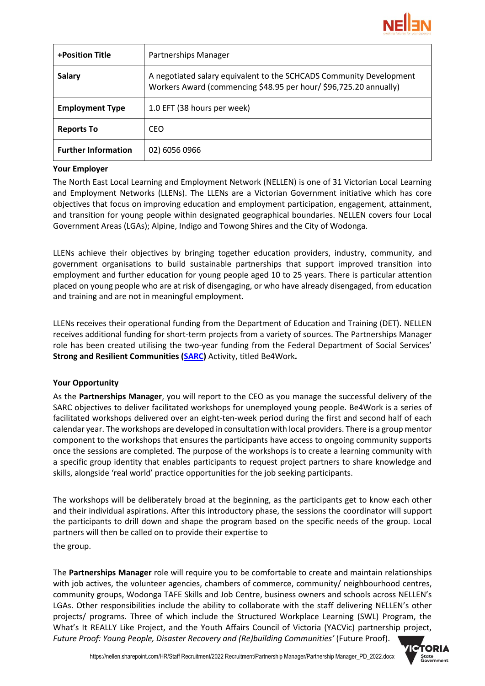

| <b>+Position Title</b>     | Partnerships Manager                                                                                                                     |
|----------------------------|------------------------------------------------------------------------------------------------------------------------------------------|
| <b>Salary</b>              | A negotiated salary equivalent to the SCHCADS Community Development<br>Workers Award (commencing \$48.95 per hour/ \$96,725.20 annually) |
| <b>Employment Type</b>     | 1.0 EFT (38 hours per week)                                                                                                              |
| <b>Reports To</b>          | <b>CEO</b>                                                                                                                               |
| <b>Further Information</b> | 02) 6056 0966                                                                                                                            |

# **Your Employer**

The North East Local Learning and Employment Network (NELLEN) is one of 31 Victorian Local Learning and Employment Networks [\(LLENs\)](http://www.llen.vic.gov.au/). The LLENs are a Victorian Government initiative which has core objectives that focus on improving education and employment participation, engagement, attainment, and transition for young people within designated geographical boundaries. NELLEN covers four Local Government Areas (LGAs); Alpine, Indigo and Towong Shires and the City of Wodonga.

LLENs achieve their objectives by bringing together education providers, industry, community, and government organisations to build sustainable partnerships that support improved transition into employment and further education for young people aged 10 to 25 years. There is particular attention placed on young people who are at risk of disengaging, or who have already disengaged, from education and training and are not in meaningful employment.

LLENs receives their operational funding from the Department of Education and Training (DET). NELLEN receives additional funding for short-term projects from a variety of sources. The Partnerships Manager role has been created utilising the two-year funding from the Federal Department of Social Services' **Strong and Resilient Communities [\(SARC\)](https://www.dss.gov.au/our-responsibilities-communities-and-vulnerable-people/strong-and-resilient-communities)** Activity, titled Be4Work**.**

# **Your Opportunity**

As the **Partnerships Manager**, you will report to the CEO as you manage the successful delivery of the SARC objectives to deliver facilitated workshops for unemployed young people. Be4Work is a series of facilitated workshops delivered over an eight-ten-week period during the first and second half of each calendar year. The workshops are developed in consultation with local providers. There is a group mentor component to the workshops that ensures the participants have access to ongoing community supports once the sessions are completed. The purpose of the workshops is to create a learning community with a specific group identity that enables participants to request project partners to share knowledge and skills, alongside 'real world' practice opportunities for the job seeking participants.

The workshops will be deliberately broad at the beginning, as the participants get to know each other and their individual aspirations. After this introductory phase, the sessions the coordinator will support the participants to drill down and shape the program based on the specific needs of the group. Local partners will then be called on to provide their expertise to the group.

The **Partnerships Manager** role will require you to be comfortable to create and maintain relationships with job actives, the volunteer agencies, chambers of commerce, community/ neighbourhood centres, community groups, Wodonga TAFE Skills and Job Centre, business owners and schools across NELLEN's LGAs. Other responsibilities include the ability to collaborate with the staff delivering NELLEN's other projects/ programs. Three of which include the Structured Workplace Learning (SWL) Program, the What's It REALLY Like Project, and the Youth Affairs Council of Victoria (YACVic) partnership project, *Future Proof: Young People, Disaster Recovery and (Re)building Communities'* (Future Proof).